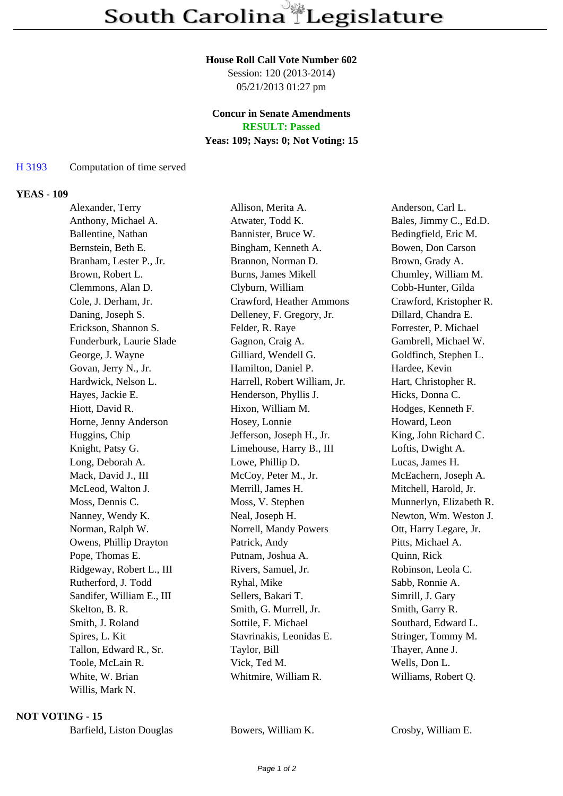### **House Roll Call Vote Number 602**

Session: 120 (2013-2014) 05/21/2013 01:27 pm

## **Concur in Senate Amendments**

**RESULT: Passed**

## **Yeas: 109; Nays: 0; Not Voting: 15**

# H 3193 Computation of time served

### **YEAS - 109**

| Alexander, Terry          | Allison, Merita A.           | Anderson, Carl L.       |
|---------------------------|------------------------------|-------------------------|
| Anthony, Michael A.       | Atwater, Todd K.             | Bales, Jimmy C., Ed.D.  |
| Ballentine, Nathan        | Bannister, Bruce W.          | Bedingfield, Eric M.    |
| Bernstein, Beth E.        | Bingham, Kenneth A.          | Bowen, Don Carson       |
| Branham, Lester P., Jr.   | Brannon, Norman D.           | Brown, Grady A.         |
| Brown, Robert L.          | <b>Burns, James Mikell</b>   | Chumley, William M.     |
| Clemmons, Alan D.         | Clyburn, William             | Cobb-Hunter, Gilda      |
| Cole, J. Derham, Jr.      | Crawford, Heather Ammons     | Crawford, Kristopher R. |
| Daning, Joseph S.         | Delleney, F. Gregory, Jr.    | Dillard, Chandra E.     |
| Erickson, Shannon S.      | Felder, R. Raye              | Forrester, P. Michael   |
| Funderburk, Laurie Slade  | Gagnon, Craig A.             | Gambrell, Michael W.    |
| George, J. Wayne          | Gilliard, Wendell G.         | Goldfinch, Stephen L.   |
| Govan, Jerry N., Jr.      | Hamilton, Daniel P.          | Hardee, Kevin           |
| Hardwick, Nelson L.       | Harrell, Robert William, Jr. | Hart, Christopher R.    |
| Hayes, Jackie E.          | Henderson, Phyllis J.        | Hicks, Donna C.         |
| Hiott, David R.           | Hixon, William M.            | Hodges, Kenneth F.      |
| Horne, Jenny Anderson     | Hosey, Lonnie                | Howard, Leon            |
| Huggins, Chip             | Jefferson, Joseph H., Jr.    | King, John Richard C.   |
| Knight, Patsy G.          | Limehouse, Harry B., III     | Loftis, Dwight A.       |
| Long, Deborah A.          | Lowe, Phillip D.             | Lucas, James H.         |
| Mack, David J., III       | McCoy, Peter M., Jr.         | McEachern, Joseph A.    |
| McLeod, Walton J.         | Merrill, James H.            | Mitchell, Harold, Jr.   |
| Moss, Dennis C.           | Moss, V. Stephen             | Munnerlyn, Elizabeth R. |
| Nanney, Wendy K.          | Neal, Joseph H.              | Newton, Wm. Weston J.   |
| Norman, Ralph W.          | Norrell, Mandy Powers        | Ott, Harry Legare, Jr.  |
| Owens, Phillip Drayton    | Patrick, Andy                | Pitts, Michael A.       |
| Pope, Thomas E.           | Putnam, Joshua A.            | Quinn, Rick             |
| Ridgeway, Robert L., III  | Rivers, Samuel, Jr.          | Robinson, Leola C.      |
| Rutherford, J. Todd       | Ryhal, Mike                  | Sabb, Ronnie A.         |
| Sandifer, William E., III | Sellers, Bakari T.           | Simrill, J. Gary        |
| Skelton, B. R.            | Smith, G. Murrell, Jr.       | Smith, Garry R.         |
| Smith, J. Roland          | Sottile, F. Michael          | Southard, Edward L.     |
| Spires, L. Kit            | Stavrinakis, Leonidas E.     | Stringer, Tommy M.      |
| Tallon, Edward R., Sr.    | Taylor, Bill                 | Thayer, Anne J.         |
| Toole, McLain R.          | Vick, Ted M.                 | Wells, Don L.           |
| White, W. Brian           | Whitmire, William R.         | Williams, Robert Q.     |
| Willis, Mark N.           |                              |                         |

### **NOT VOTING - 15**

glas Bowers, William K. Crosby, William E.